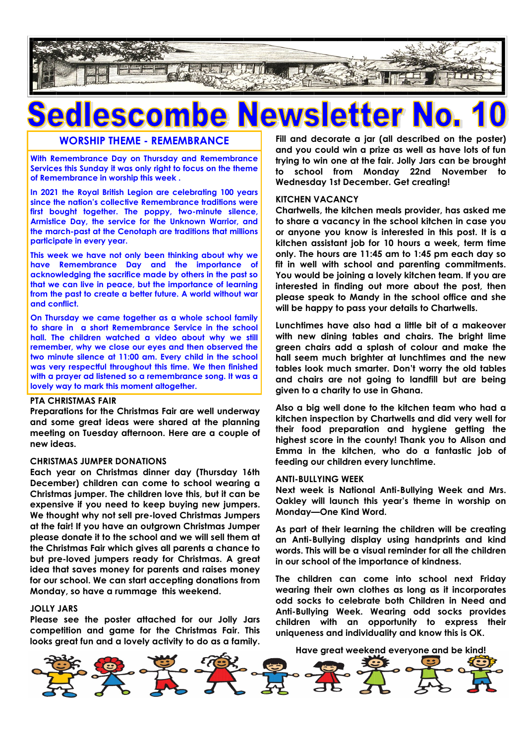

## vslet

#### **WORSHIP THEME - REMEMBRANCE**

**With Remembrance Day on Thursday and Remembrance Services this Sunday it was only right to focus on the theme of Remembrance in worship this week .** 

**In 2021 the Royal British Legion are celebrating 100 years since the nation's collective Remembrance traditions were first bought together. The poppy, two-minute silence, Armistice Day, the service for the Unknown Warrior, and the march-past at the Cenotaph are traditions that millions participate in every year.** 

**This week we have not only been thinking about why we have Remembrance Day and the importance of acknowledging the sacrifice made by others in the past so that we can live in peace, but the importance of learning from the past to create a better future. A world without war and conflict.**

**On Thursday we came together as a whole school family to share in a short Remembrance Service in the school hall. The children watched a video about why we still remember, why we close our eyes and then observed the two minute silence at 11:00 am. Every child in the school was very respectful throughout this time. We then finished with a prayer ad listened so a remembrance song. It was a lovely way to mark this moment altogether.**

#### **PTA CHRISTMAS FAIR**

**Preparations for the Christmas Fair are well underway and some great ideas were shared at the planning meeting on Tuesday afternoon. Here are a couple of new ideas.**

#### **CHRISTMAS JUMPER DONATIONS**

**Each year on Christmas dinner day (Thursday 16th December) children can come to school wearing a Christmas jumper. The children love this, but it can be expensive if you need to keep buying new jumpers. We thought why not sell pre-loved Christmas Jumpers at the fair! If you have an outgrown Christmas Jumper please donate it to the school and we will sell them at the Christmas Fair which gives all parents a chance to but pre-loved jumpers ready for Christmas. A great idea that saves money for parents and raises money for our school. We can start accepting donations from Monday, so have a rummage this weekend.**

#### **JOLLY JARS**

**Please see the poster attached for our Jolly Jars competition and game for the Christmas Fair. This looks great fun and a lovely activity to do as a family.** 

**Fill and decorate a jar (all described on the poster) and you could win a prize as well as have lots of fun trying to win one at the fair. Jolly Jars can be brought to school from Monday 22nd November to Wednesday 1st December. Get creating!**

#### **KITCHEN VACANCY**

**Chartwells, the kitchen meals provider, has asked me to share a vacancy in the school kitchen in case you or anyone you know is interested in this post. It is a kitchen assistant job for 10 hours a week, term time only. The hours are 11:45 am to 1:45 pm each day so fit in well with school and parenting commitments. You would be joining a lovely kitchen team. If you are interested in finding out more about the post, then please speak to Mandy in the school office and she will be happy to pass your details to Chartwells.**

**Lunchtimes have also had a little bit of a makeover with new dining tables and chairs. The bright lime green chairs add a splash of colour and make the hall seem much brighter at lunchtimes and the new tables look much smarter. Don't worry the old tables and chairs are not going to landfill but are being given to a charity to use in Ghana.**

**Also a big well done to the kitchen team who had a kitchen inspection by Chartwells and did very well for their food preparation and hygiene getting the highest score in the county! Thank you to Alison and Emma in the kitchen, who do a fantastic job of feeding our children every lunchtime.**

#### **ANTI-BULLYING WEEK**

**Next week is National Anti-Bullying Week and Mrs. Oakley will launch this year's theme in worship on Monday—One Kind Word.**

**As part of their learning the children will be creating an Anti-Bullying display using handprints and kind words. This will be a visual reminder for all the children in our school of the importance of kindness.** 

**The children can come into school next Friday wearing their own clothes as long as it incorporates odd socks to celebrate both Children in Need and Anti-Bullying Week. Wearing odd socks provides children with an opportunity to express their uniqueness and individuality and know this is OK.**